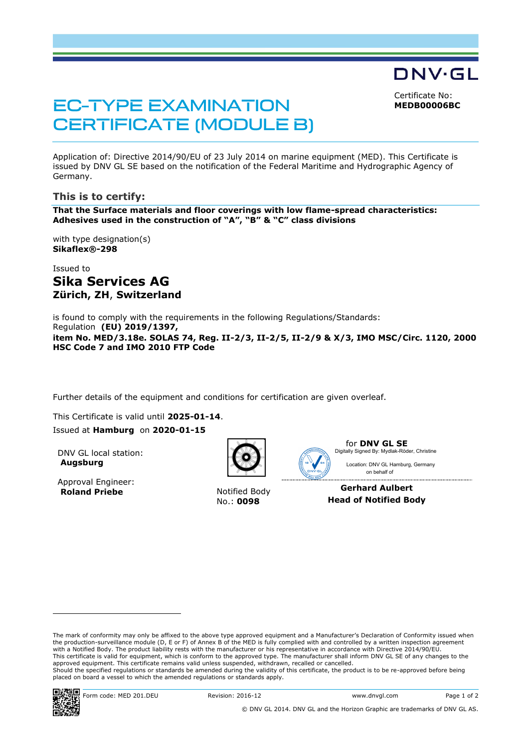Certificate No: **MEDB00006BC**

DNV·GL

**EC-TYPE EXAMINATION CERTIFICATE (MODULE B)** 

Application of: Directive 2014/90/EU of 23 July 2014 on marine equipment (MED). This Certificate is issued by DNV GL SE based on the notification of the Federal Maritime and Hydrographic Agency of Germany.

## **This is to certify:**

**That the Surface materials and floor coverings with low flame-spread characteristics: Adhesives used in the construction of "A", "B" & "C" class divisions**

with type designation(s) **Sikaflex®-298**

Issued to **Sika Services AG Zürich, ZH**, **Switzerland**

is found to comply with the requirements in the following Regulations/Standards: Regulation **(EU) 2019/1397, item No. MED/3.18e. SOLAS 74, Reg. II-2/3, II-2/5, II-2/9 & X/3, IMO MSC/Circ. 1120, 2000 HSC Code 7 and IMO 2010 FTP Code**

Further details of the equipment and conditions for certification are given overleaf.

This Certificate is valid until **2025-01-14**. Issued at **Hamburg** on **2020-01-15**

DNV GL local station: **Augsburg**

Approval Engineer: **Roland Priebe** Notified Body



No.: **0098**



for **DNV GL SE** on behalf of Location: DNV GL Hamburg, Germany Digitally Signed By: Mydlak-Röder, Christine

**Gerhard Aulbert Head of Notified Body**

The mark of conformity may only be affixed to the above type approved equipment and a Manufacturer's Declaration of Conformity issued when the production-surveillance module (D, E or F) of Annex B of the MED is fully complied with and controlled by a written inspection agreement with a Notified Body. The product liability rests with the manufacturer or his representative in accordance with Directive 2014/90/EU. This certificate is valid for equipment, which is conform to the approved type. The manufacturer shall inform DNV GL SE of any changes to the approved equipment. This certificate remains valid unless suspended, withdrawn, recalled or cancelled. Should the specified regulations or standards be amended during the validity of this certificate, the product is to be re-approved before being placed on board a vessel to which the amended regulations or standards apply.



ı